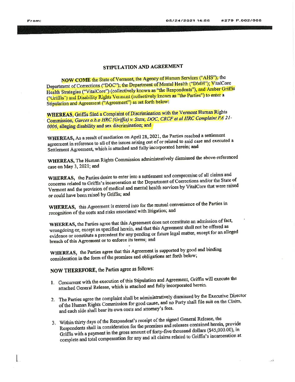# STIPULATION AND AGREEMENT

NOW COME the State of Vermont, the Agency of Human Services ("AHS"); the Department of Corrections ("DOC"); the Department of Mental Health ("DMH"); VitalCore Health Strategies ("VitalCore") (collectively known as "the Respondents"), and Amber Griffis ("Griffis") and Disability Rights Vermont (collectively known as "the Parties") to enter a Stipulation and Agreement ("Agreement") as set forth below:

**WHEREAS**, Griffis filed a Complaint of Discrimination with the Vermont Human Rights Commission, Garces o.b.o HRC (Griffis) v. State, DOC, CRCF et al HRC Complaint PA 21-0006, alleging disability and sex discrimination; and

WHEREAS, As a result of mediation on April 28, 2021, the Parties reached a settlement agreement in reference to all of the issues arising out of or related to said case and executed a Settlement Agreement, which is attached and fully incorporated herein; and

WHEREAS, The Human Rights Commission administratively dismissed the above-referenced case on May 3, 2021; and

WHEREAS, the Parties desire to enter into a settlement and compromise of all claims and concerns related to Griffis's incarceration at the Department of Corrections and/or the State of Vermont and the provision of medical and mental health services by VitalCore that were raised or could have been raised by Griffis; and

WHEREAS, this Agreement is entered into for the mutual convenience of the Parties in recognition of the costs and risks associated with litigation; and

WHEREAS, the Parties agree that this Agreement does not constitute an admission of fact, wrongdoing or, except as specified herein, and that this Agreement shall not be offered as evidence or constitute a precedent for any pending or future legal matter, except for an alleged breach of this Agreement or to enforce its terms; and

WHEREAS, the Parties agree that this Agreement is supported by good and binding consideration in the form of the promises and obligations set forth below;

NOW THEREFORE, the Parties agree as follows:

- 1. Concurrent with the execution of this Stipulation and Agreement, Griffis will execute the attached General Release, which is attached and fully incorporated herein.
- 2. The Parties agree the complaint shall be administratively dismissed by the Executive Director of the Human Rights Commission for good cause, and no Party shall file suit on the Claim, and each side shall bear its own costs and attorney's fees.
- 3. Within thirty days of the Respondent's receipt of the signed General Release, the Respondents shall in consideration for the promises and releases contained herein, provide Griffis with a payment in the gross amount of forty-five thousand dollars (\$45,000.00), in complete and total compensation for any and all claims related to Griffis's incarceration at

nek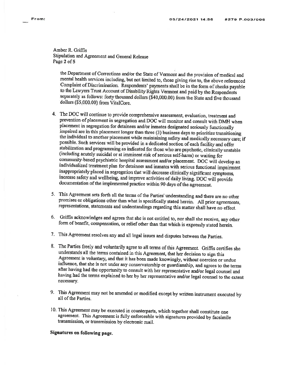Amber R. Griffis Stipulation and Agreement and General Release Page 2 of 5

the Department of Corrections and/or the State of Vermont and the provision of medical and mental health services including, but not limited to, those giving rise to, the above referenced Complaint of Discrimination. Respondents' payments shall be in the form of checks payable to the Lawyers Trust Account of Disability Rights Vermont and paid by the Respondents separately as follows: forty thousand dollars (\$40,000.00) from the State and five thousand dollars (\$5,000.00) from VitalCore.

- 4. The DOC will continue to provide comprehensive assessment, evaluation, treatment and prevention of placement in segregation and DOC will monitor and consult with DMH when placement in segregation for detainees and/or inmates designated seriously functionally impaired are in this placement longer than three (3) business days to prioritize transitioning the individual to another placement while maintaining safety and medically necessary care; if possible. Such services will be provided in a dedicated section of each facility and offer stabilization and programming as indicated for those who are psychotic, clinically unstable (including acutely suicidal or at imminent risk of serious self-harm) or waiting for community-based psychiatric hospital assessment and/or placement. DOC will develop an individualized treatment plan for detainees and inmates with serious functional impairment inappropriately placed in segregation that will decrease clinically significant symptoms, increase safety and wellbeing, and improve activities of daily living. DOC will provide documentation of the implemented practice within 90 days of the agreement.
- 5. This Agreement sets forth all the terms of the Parties' understanding and there are no other promises or obligations other than what is specifically stated herein. All prior agreements, representations, statements and understandings regarding this matter shall have no effect.
- 6. Griffis acknowledges and agrees that she is not entitled to, nor shall she receive, any other form of benefit, compensation, or relief other than that which is expressly stated herein.
- 7. This Agreement resolves any and all legal issues and disputes between the Parties.
- 8. The Parties freely and voluntarily agree to all terms of this Agreement. Griffis certifies she understands all the terms contained in this Agreement, that her decision to sign this Agreement is voluntary, and that it has been made knowingly, without coercion or undue influence, that she is not under any conservatorship or guardianship, and agrees to the terms after having had the opportunity to consult with her representative and/or legal counsel and having had the terms explained to her by her representative and/or legal counsel to the extent necessary.
- 9. This Agreement may not be amended or modified except by written instrument executed by all of the Parties.
- 10. This Agreement may be executed in counterparts, which together shall constitute one agreement. This Agreement is fully enforceable with signatures provided by facsimile transmission, or transmission by electronic mail.

# Signatures on following page.

From: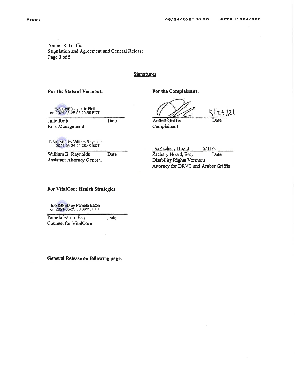Amber R. Griffis Stipulation and Agreement and General Release Page 3 of 5

## **Signatures**

### For the State of Vermont:

For the Complainant:

E-SIGNED by Julie Roth<br>on 2021-05-25 06:20:59 EDT

Julie Roth **Risk Management**  Date

Amber Griffis

 $5|23|2|$ Date

Complainant

E-SIGNED by William Reynolds<br>on 2021-05-24 21:28:40 EDT

William B. Reynolds Date **Assistant Attorney General** 

/s/Zachary Hozid  $5/11/21$ Zachary Hozid, Esq. Date Disability Rights Vermont Attorney for DRVT and Amber Griffis

## **For VitalCore Health Strategies**

E-SIGNED by Pamela Eaton<br>on 2021-05-25 08:36:25 EDT

Pamela Eaton, Esq. Date **Counsel for VitalCore** 

General Release on following page.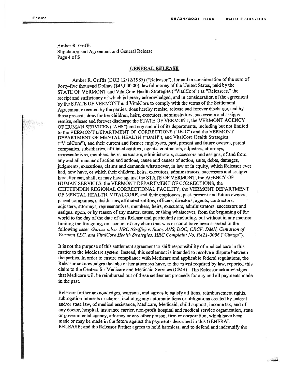i.

:'

..j!r\$

Amber R. Griffis Stipulation and Agreement and General Release Page 4 of 5

### **GENERAL RELEASE**

Amber R. Griffis (DOB 12/12/1985) ("Releasor"), for and in consideration of the sum of Forty-five thousand Dollars (\$45,000.00), lawful money of the United States, paid by the STATE OF VERMONT and VitalCore Health Strategies ("VitalCore") as "Releasees," the receipt and sufficiency of which is hereby acknowledged, and in consideration of the agreement by the STATE OF VERMONT and VitalCore to comply with the terms of the Settlement Agreement executed by the parties, does hereby remise, release and forever discharge, and by thesc presents does for her children, heirs, executors, administrators, successors and assigns remise, release and forever discharge the STATE OF VERMONT, the VERMONT AGENCY OF HUMAN SERVICES ("AHS") and any and all of its departments, including but not limited to the VERMONT DEPARTMENT OF CORRECTIONS ("DOC") and the VERMONT DEPARTMENT OF MENTAL HEALTH (\*DMH"), and VitalCore Health Strategies ("VitalCore"), and their current and former employees, past, present and future owners, parent companies, subsidiaries, affiliated entities, agents, contractors, adjusters, aftomeys, representatives, members, heirs, executors, administrators, successors and assigns, of and from any and all manner of action and actions, cause and causes of action, suits, debts, damages, judgments, executions, claims and demands whatsoever, in law or in equity, which Releasor ever had, now have, or which their children, heirs, executors, administrators, successors and assigns hereafter can, shall, or may have against the STATE OF VERMONT, the AGENCY OF HUMAN SERVICES, the VERMONT DEPARTMENT OF CORRECTIONS, the CHITTENDEN REGIONAL CORRECTIONAL FACILITY, the VERMONT DEPARTMENT OF MENTAL HEALTH, VITALCORE, and their employees, past, present and futrue owners, parent companies, subsidiaries, affrliated entities, officers, directors, agents, contactors, adjusters. attorneys, representatives, members, heirs, executors, administrators, successors and assigns, upon, or by reason of any matter, cause, or thing whatsoever, from the beginning of the world to the day of the date of this Release and particularly including, but without in any manner limiting the foregoing, on account of any claim that was or could have been asserted in the following case: Garces o.b.o. HRC (Griffis) v. State, AHS, DOC, CRCF, DMH, Centurion of Vermont LLC, and Yitalcore Health Strategies, HRC Complaint No. PA2l-0006 ("Charge').

It is not the purpose of this settlement agreement to shift responsibility of medical care in this matter to the Medicare system, Instead, this settlement is intended to resolve a dispute between the parties. In order to ensure compliance with Medicare and applicable federal regulations, the Releasor acknowledges that she or her attorneys have, to the extent required by law, reported this claim to the Centers for Medicare and Medicaid Services (CMS). The Releasor acknowledges that Medicare will be reimbursed out of these settlement proceeds for any and all payments made in the past.

Releasor further acknowledges, warrants, and agrees to satisfy all liens, reimbursement rights, subrogation interests or claims, including any automatic lierrs or obligations created by federal andy'or state law, of medical assistance, Medicare, Medicaid, child support, income tax, and of any doctor, hospital, insurance carrier, non-profit hospital and medical service organization, state or govemmental agency, attorney or any other person, frm or corporation, which have been made or may be made in the firture against the payments described in this GENERAL RELEASE; and the Releasor further agrees to hold harmless, and to defend and indemnify the